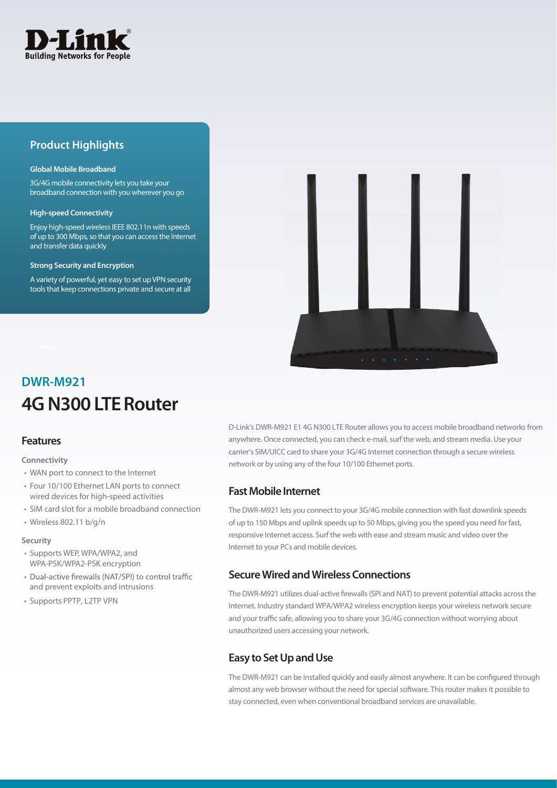

## **Product Highlights**

#### **Global Mobile Broadband**

3G/4G mobile connectivity lets you take your broadband connection with you wherever you go

#### **High-speed Connectivity**

Enjoy high-speed wireless IEEE 802.11n with speeds of up to 300 Mbps, so that you can access the Internet and transfer data quickly

#### **Strong Security and Encryption**

A variety of powerful, yet easy to set up VPN security tools that keep connections private and secure at all



# **4G N300 LTE Router DWR-M921**

### **Features**

**Connectivity**

- WAN port to connect to the Internet
- Four 10/100 Ethernet LAN ports to connect wired devices for high-speed activities
- SIM card slot for a mobile broadband connection
- Wireless 802.11 b/g/n

#### **Security**

- Supports WEP, WPA/WPA2, and WPA-PSK/WPA2-PSK encryption
- Dual-active firewalls (NAT/SPI) to control traffic and prevent exploits and intrusions
- Supports PPTP, L2TP VPN

D-Link's DWR-M921 E1 4G N300 LTE Router allows you to access mobile broadband networks from anywhere. Once connected, you can check e-mail, surf the web, and stream media. Use your carrier's SIM/UICC card to share your 3G/4G Internet connection through a secure wireless network or by using any of the four 10/100 Ethernet ports.

### **Fast Mobile Internet**

The DWR-M921 lets you connect to your 3G/4G mobile connection with fast downlink speeds of up to 150 Mbps and uplink speeds up to 50 Mbps, giving you the speed you need for fast, responsive Internet access. Surf the web with ease and stream music and video over the Internet to your PCs and mobile devices.

### **Secure Wired and Wireless Connections**

The DWR-M921 utilizes dual-active firewalls (SPI and NAT) to prevent potential attacks across the Internet. Industry standard WPA/WPA2 wireless encryption keeps your wireless network secure and your traffic safe, allowing you to share your 3G/4G connection without worrying about unauthorized users accessing your network.

## **Easy to Set Up and Use**

The DWR-M921 can be installed quickly and easily almost anywhere. It can be configured through almost any web browser without the need for special software. This router makes it possible to stay connected, even when conventional broadband services are unavailable.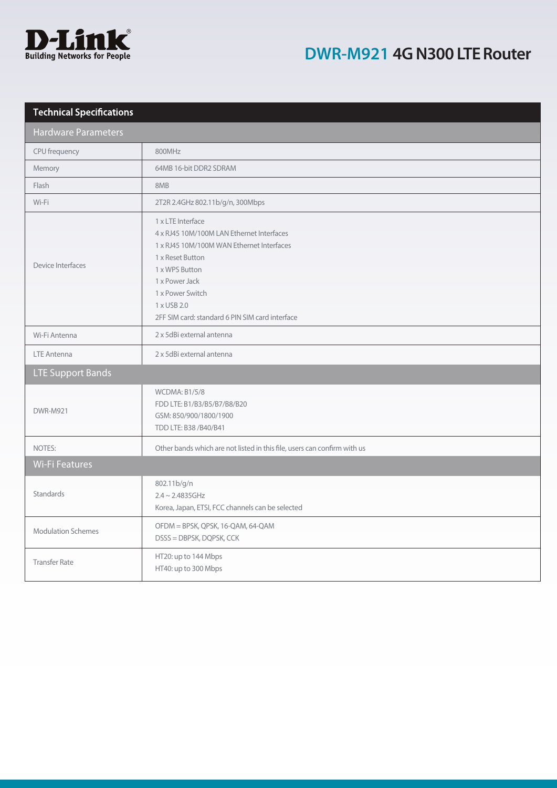

# **DWR-M921 4G N300 LTE Router**

| <b>Technical Specifications</b> |                                                                                                                                                                                                                                                           |  |
|---------------------------------|-----------------------------------------------------------------------------------------------------------------------------------------------------------------------------------------------------------------------------------------------------------|--|
| <b>Hardware Parameters</b>      |                                                                                                                                                                                                                                                           |  |
| CPU frequency                   | 800MHz                                                                                                                                                                                                                                                    |  |
| Memory                          | 64MB 16-bit DDR2 SDRAM                                                                                                                                                                                                                                    |  |
| Flash                           | 8MB                                                                                                                                                                                                                                                       |  |
| Wi-Fi                           | 2T2R 2.4GHz 802.11b/g/n, 300Mbps                                                                                                                                                                                                                          |  |
| Device Interfaces               | 1 x LTE Interface<br>4 x RJ45 10M/100M LAN Ethernet Interfaces<br>1 x RJ45 10M/100M WAN Ethernet Interfaces<br>1 x Reset Button<br>1 x WPS Button<br>1 x Power Jack<br>1 x Power Switch<br>1 x USB 2.0<br>2FF SIM card: standard 6 PIN SIM card interface |  |
| Wi-Fi Antenna                   | 2 x 5dBi external antenna                                                                                                                                                                                                                                 |  |
| <b>LTE Antenna</b>              | 2 x 5dBi external antenna                                                                                                                                                                                                                                 |  |
| <b>LTE Support Bands</b>        |                                                                                                                                                                                                                                                           |  |
| <b>DWR-M921</b>                 | <b>WCDMA: B1/5/8</b><br>FDD LTE: B1/B3/B5/B7/B8/B20<br>GSM: 850/900/1800/1900<br>TDD LTE: B38 / B40/ B41                                                                                                                                                  |  |
| NOTES:                          | Other bands which are not listed in this file, users can confirm with us                                                                                                                                                                                  |  |
| <b>Wi-Fi Features</b>           |                                                                                                                                                                                                                                                           |  |
| <b>Standards</b>                | 802.11b/g/n<br>$2.4 \sim 2.4835$ GHz<br>Korea, Japan, ETSI, FCC channels can be selected                                                                                                                                                                  |  |
| <b>Modulation Schemes</b>       | OFDM = BPSK, QPSK, 16-QAM, 64-QAM<br>DSSS = DBPSK, DQPSK, CCK                                                                                                                                                                                             |  |
| <b>Transfer Rate</b>            | HT20: up to 144 Mbps<br>HT40: up to 300 Mbps                                                                                                                                                                                                              |  |